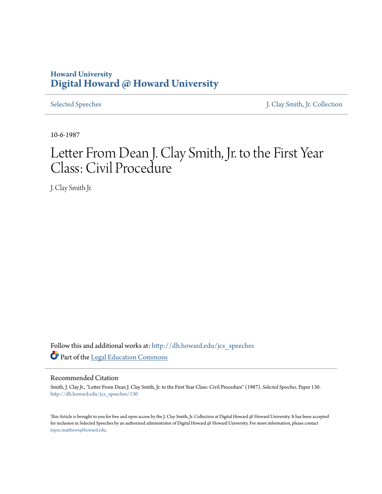## **Howard University [Digital Howard @ Howard University](http://dh.howard.edu?utm_source=dh.howard.edu%2Fjcs_speeches%2F130&utm_medium=PDF&utm_campaign=PDFCoverPages)**

[Selected Speeches](http://dh.howard.edu/jcs_speeches?utm_source=dh.howard.edu%2Fjcs_speeches%2F130&utm_medium=PDF&utm_campaign=PDFCoverPages) [J. Clay Smith, Jr. Collection](http://dh.howard.edu/jcsmith?utm_source=dh.howard.edu%2Fjcs_speeches%2F130&utm_medium=PDF&utm_campaign=PDFCoverPages)

10-6-1987

## Letter From Dean J. Clay Smith, Jr. to the First Year Class: Civil Procedure

J. Clay Smith Jr.

Follow this and additional works at: [http://dh.howard.edu/jcs\\_speeches](http://dh.howard.edu/jcs_speeches?utm_source=dh.howard.edu%2Fjcs_speeches%2F130&utm_medium=PDF&utm_campaign=PDFCoverPages) Part of the [Legal Education Commons](http://network.bepress.com/hgg/discipline/857?utm_source=dh.howard.edu%2Fjcs_speeches%2F130&utm_medium=PDF&utm_campaign=PDFCoverPages)

## Recommended Citation

Smith, J. Clay Jr., "Letter From Dean J. Clay Smith, Jr. to the First Year Class: Civil Procedure" (1987). *Selected Speeches.* Paper 130. [http://dh.howard.edu/jcs\\_speeches/130](http://dh.howard.edu/jcs_speeches/130?utm_source=dh.howard.edu%2Fjcs_speeches%2F130&utm_medium=PDF&utm_campaign=PDFCoverPages)

This Article is brought to you for free and open access by the J. Clay Smith, Jr. Collection at Digital Howard @ Howard University. It has been accepted for inclusion in Selected Speeches by an authorized administrator of Digital Howard @ Howard University. For more information, please contact [lopez.matthews@howard.edu.](mailto:lopez.matthews@howard.edu)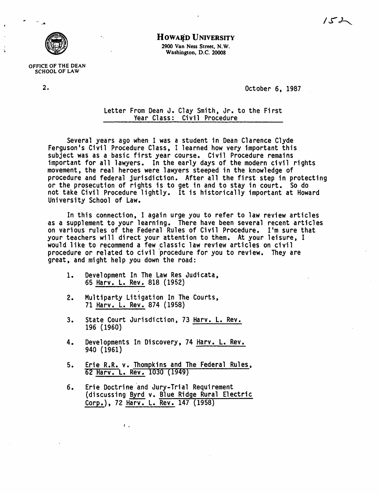

OFFICE OF THE DEAN SCHOOL OF LAW

HOWARD UNIVERSITY 2900 Van Ness Street, N. W.

Washington, D.C. 20008

2. October 6, 1987

Letter From Dean J. Clay Smith, Jr. to the First Year Class: Civil Procedure

Several years ago when I was a student in Dean Clarence Clyde Ferguson's Civil Procedure Class, I learned how very important this subject was as a basic first year course. Civil Procedure remains important for all lawyers. In the early days of the modern civil rights movement, the real heroes were lawyers steeped in the knowledge of procedure and federal jurisdiction. After all the first step in protecting or the prosecution of rights is to get in and to stay in court. So do not take Civil Procedure lightly. It is historically important at Howard University School of Law.

In this connection, I again urge you to refer to law review articles as a supplement to your learning. There have been several recent articles on various rules of the Federal Rules of Civil Procedure. I'm sure that your teachers will direct your attention to them. At your leisure, I would like to recommend a few classic law review articles on civil procedure or related to civil 'procedure for you to review. They are great, and might help you down the road:

- 1. Development In The Law Res Judicata, 65 Harv. L. Rev. 818 (1952)
- 2. Multiparty Litigation In The Courts, 71 Harv. L. Rev. 874 (1958)
- 3. State Court Jurisdiction, 73 Harv. L. Rev. 196 (1960)
- 4. Developments In Discovery, 74 Harv. L. Rev. 940 (1961)
- 5. Erie R.R. v. Thompkins and The Federal Rules, 62 Harv. L. Rev. 1030 (1949)
- 6. Erie Doctrine and Jury-Trial Requirement<br>(discussing <u>Byrd</u> v. Blue Ridge Rural Electric) Corp.), 72 Harv. L. Rev. 147 (1958)

 $\mathbf{I}$   $\mathbf{I}$